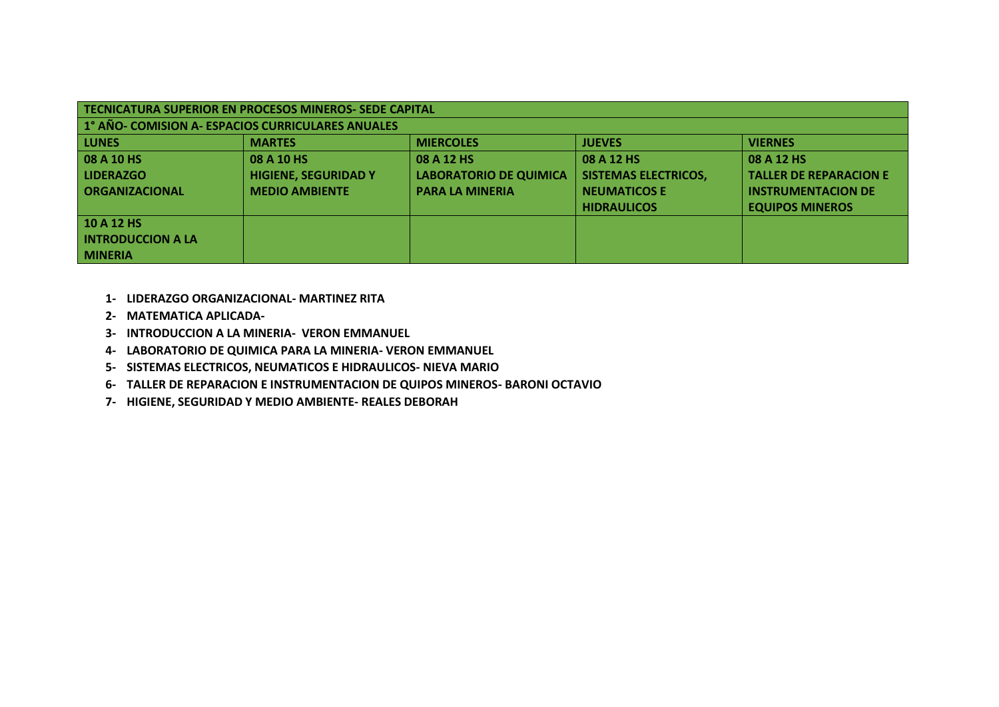| <b>TECNICATURA SUPERIOR EN PROCESOS MINEROS- SEDE CAPITAL</b> |                             |                               |                             |                               |
|---------------------------------------------------------------|-----------------------------|-------------------------------|-----------------------------|-------------------------------|
| 1° AÑO- COMISION A- ESPACIOS CURRICULARES ANUALES             |                             |                               |                             |                               |
| <b>LUNES</b>                                                  | <b>MARTES</b>               | <b>MIERCOLES</b>              | <b>JUEVES</b>               | <b>VIERNES</b>                |
| 08 A 10 HS                                                    | 08 A 10 HS                  | 08 A 12 HS                    | 08 A 12 HS                  | 08 A 12 HS                    |
| <b>LIDERAZGO</b>                                              | <b>HIGIENE, SEGURIDAD Y</b> | <b>LABORATORIO DE QUIMICA</b> | <b>SISTEMAS ELECTRICOS,</b> | <b>TALLER DE REPARACION E</b> |
| <b>ORGANIZACIONAL</b>                                         | <b>MEDIO AMBIENTE</b>       | <b>PARA LA MINERIA</b>        | <b>NEUMATICOS E</b>         | <b>INSTRUMENTACION DE</b>     |
|                                                               |                             |                               | <b>HIDRAULICOS</b>          | <b>EQUIPOS MINEROS</b>        |
| 10 A 12 HS                                                    |                             |                               |                             |                               |
| <b>INTRODUCCION A LA</b>                                      |                             |                               |                             |                               |
| <b>MINERIA</b>                                                |                             |                               |                             |                               |

- **1- LIDERAZGO ORGANIZACIONAL- MARTINEZ RITA**
- **2- MATEMATICA APLICADA-**
- **3- INTRODUCCION A LA MINERIA- VERON EMMANUEL**
- **4- LABORATORIO DE QUIMICA PARA LA MINERIA- VERON EMMANUEL**
- **5- SISTEMAS ELECTRICOS, NEUMATICOS E HIDRAULICOS- NIEVA MARIO**
- **6- TALLER DE REPARACION E INSTRUMENTACION DE QUIPOS MINEROS- BARONI OCTAVIO**
- **7- HIGIENE, SEGURIDAD Y MEDIO AMBIENTE- REALES DEBORAH**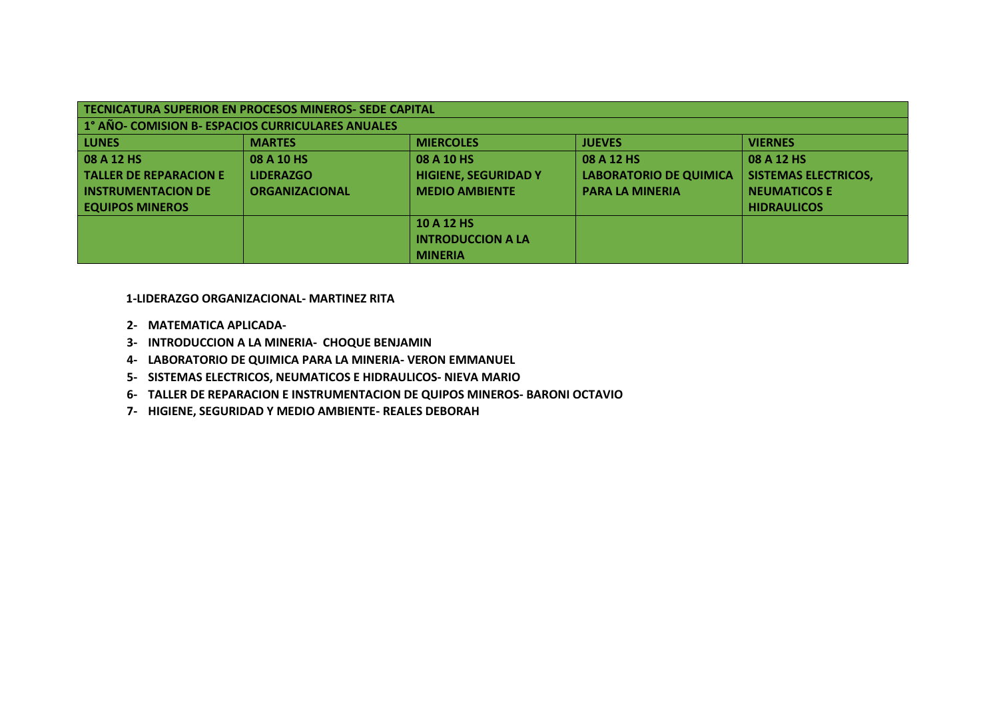| <b>TECNICATURA SUPERIOR EN PROCESOS MINEROS- SEDE CAPITAL</b> |                       |                             |                               |                             |
|---------------------------------------------------------------|-----------------------|-----------------------------|-------------------------------|-----------------------------|
| 1° AÑO- COMISION B- ESPACIOS CURRICULARES ANUALES             |                       |                             |                               |                             |
| <b>LUNES</b>                                                  | <b>MARTES</b>         | <b>MIERCOLES</b>            | <b>JUEVES</b>                 | <b>VIERNES</b>              |
| 08 A 12 HS                                                    | 08 A 10 HS            | 08 A 10 HS                  | 08 A 12 HS                    | 08 A 12 HS                  |
| <b>TALLER DE REPARACION E</b>                                 | <b>LIDERAZGO</b>      | <b>HIGIENE, SEGURIDAD Y</b> | <b>LABORATORIO DE QUIMICA</b> | <b>SISTEMAS ELECTRICOS,</b> |
| <b>INSTRUMENTACION DE</b>                                     | <b>ORGANIZACIONAL</b> | <b>MEDIO AMBIENTE</b>       | <b>PARA LA MINERIA</b>        | <b>NEUMATICOS E</b>         |
| <b>EQUIPOS MINEROS</b>                                        |                       |                             |                               | <b>HIDRAULICOS</b>          |
|                                                               |                       | 10 A 12 HS                  |                               |                             |
|                                                               |                       | <b>INTRODUCCION A LA</b>    |                               |                             |
|                                                               |                       | <b>MINERIA</b>              |                               |                             |

 **1-LIDERAZGO ORGANIZACIONAL- MARTINEZ RITA**

- **2- MATEMATICA APLICADA-**
- **3- INTRODUCCION A LA MINERIA- CHOQUE BENJAMIN**
- **4- LABORATORIO DE QUIMICA PARA LA MINERIA- VERON EMMANUEL**
- **5- SISTEMAS ELECTRICOS, NEUMATICOS E HIDRAULICOS- NIEVA MARIO**
- **6- TALLER DE REPARACION E INSTRUMENTACION DE QUIPOS MINEROS- BARONI OCTAVIO**
- **7- HIGIENE, SEGURIDAD Y MEDIO AMBIENTE- REALES DEBORAH**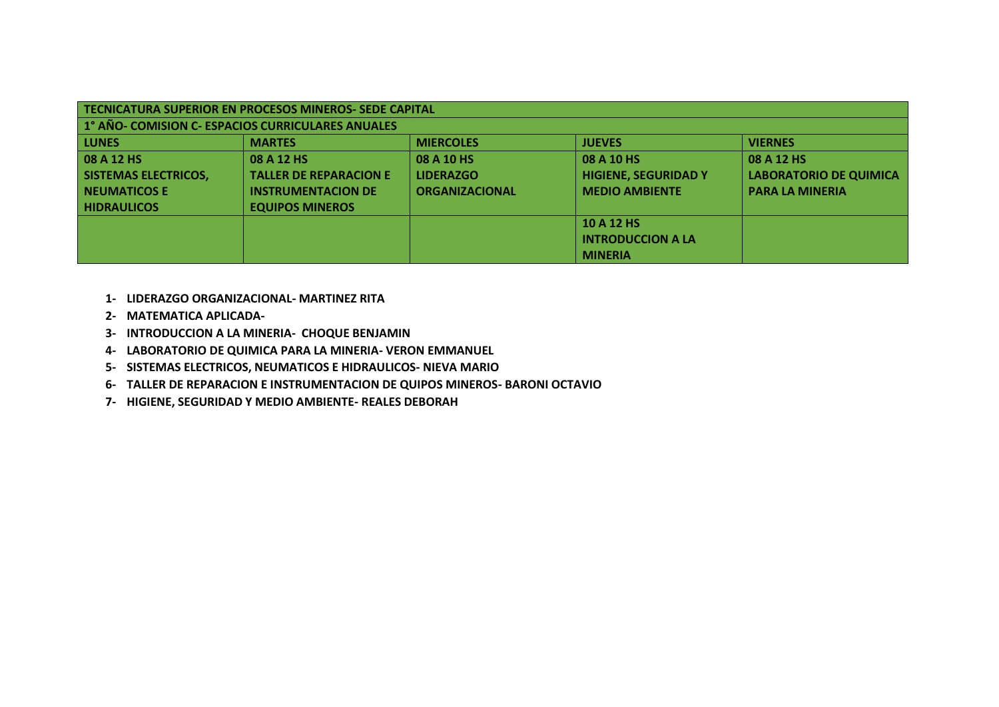| TECNICATURA SUPERIOR EN PROCESOS MINEROS- SEDE CAPITAL |                                                   |                       |                             |                               |
|--------------------------------------------------------|---------------------------------------------------|-----------------------|-----------------------------|-------------------------------|
|                                                        | 1° AÑO- COMISION C- ESPACIOS CURRICULARES ANUALES |                       |                             |                               |
| <b>LUNES</b>                                           | <b>MARTES</b>                                     | <b>MIERCOLES</b>      | <b>JUEVES</b>               | <b>VIERNES</b>                |
| 08 A 12 HS                                             | 08 A 12 HS                                        | 08 A 10 HS            | 08 A 10 HS                  | 08 A 12 HS                    |
| <b>SISTEMAS ELECTRICOS,</b>                            | <b>TALLER DE REPARACION E</b>                     | <b>LIDERAZGO</b>      | <b>HIGIENE, SEGURIDAD Y</b> | <b>LABORATORIO DE QUIMICA</b> |
| <b>NEUMATICOS E</b>                                    | <b>INSTRUMENTACION DE</b>                         | <b>ORGANIZACIONAL</b> | <b>MEDIO AMBIENTE</b>       | <b>PARA LA MINERIA</b>        |
| <b>HIDRAULICOS</b>                                     | <b>EQUIPOS MINEROS</b>                            |                       |                             |                               |
|                                                        |                                                   |                       | 10 A 12 HS                  |                               |
|                                                        |                                                   |                       | <b>INTRODUCCION A LA</b>    |                               |
|                                                        |                                                   |                       | <b>MINERIA</b>              |                               |

- **1- LIDERAZGO ORGANIZACIONAL- MARTINEZ RITA**
- **2- MATEMATICA APLICADA-**
- **3- INTRODUCCION A LA MINERIA- CHOQUE BENJAMIN**
- **4- LABORATORIO DE QUIMICA PARA LA MINERIA- VERON EMMANUEL**
- **5- SISTEMAS ELECTRICOS, NEUMATICOS E HIDRAULICOS- NIEVA MARIO**
- **6- TALLER DE REPARACION E INSTRUMENTACION DE QUIPOS MINEROS- BARONI OCTAVIO**
- **7- HIGIENE, SEGURIDAD Y MEDIO AMBIENTE- REALES DEBORAH**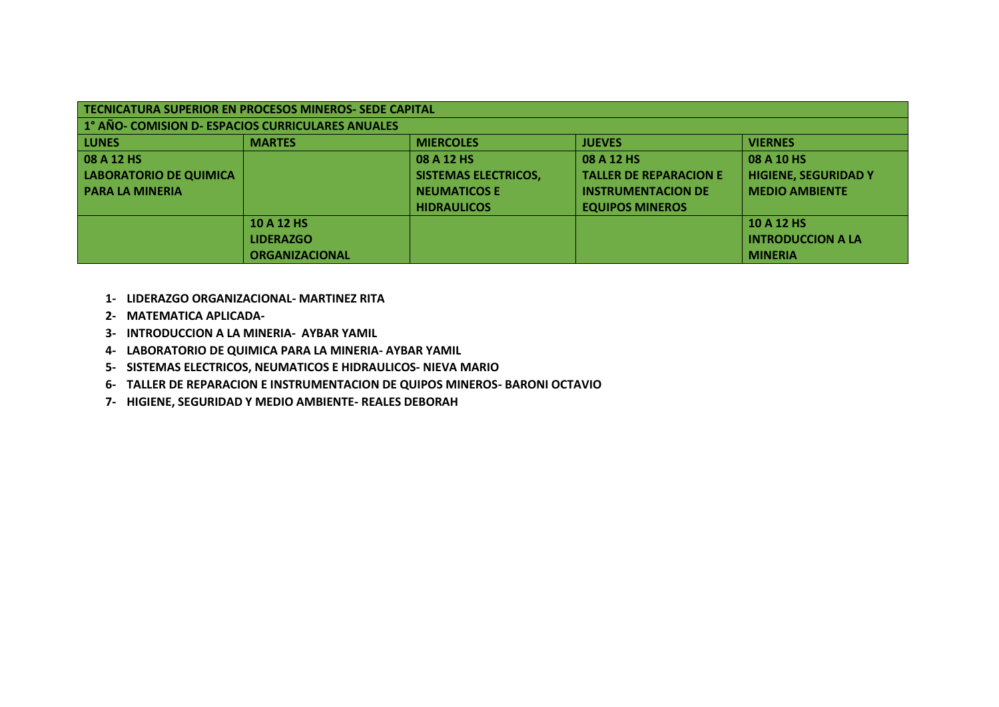| TECNICATURA SUPERIOR EN PROCESOS MINEROS- SEDE CAPITAL |                       |                             |                               |                             |
|--------------------------------------------------------|-----------------------|-----------------------------|-------------------------------|-----------------------------|
| 1° AÑO- COMISION D- ESPACIOS CURRICULARES ANUALES      |                       |                             |                               |                             |
| <b>LUNES</b>                                           | <b>MARTES</b>         | <b>MIERCOLES</b>            | <b>JUEVES</b>                 | <b>VIERNES</b>              |
| 08 A 12 HS                                             |                       | 08 A 12 HS                  | 08 A 12 HS                    | 08 A 10 HS                  |
| LABORATORIO DE QUIMICA                                 |                       | <b>SISTEMAS ELECTRICOS,</b> | <b>TALLER DE REPARACION E</b> | <b>HIGIENE, SEGURIDAD Y</b> |
| <b>PARA LA MINERIA</b>                                 |                       | <b>NEUMATICOS E</b>         | <b>INSTRUMENTACION DE</b>     | <b>MEDIO AMBIENTE</b>       |
|                                                        |                       | <b>HIDRAULICOS</b>          | <b>EQUIPOS MINEROS</b>        |                             |
|                                                        | 10 A 12 HS            |                             |                               | 10 A 12 HS                  |
|                                                        | <b>LIDERAZGO</b>      |                             |                               | <b>INTRODUCCION A LA</b>    |
|                                                        | <b>ORGANIZACIONAL</b> |                             |                               | <b>MINERIA</b>              |

- **1- LIDERAZGO ORGANIZACIONAL- MARTINEZ RITA**
- **2- MATEMATICA APLICADA-**
- **3- INTRODUCCION A LA MINERIA- AYBAR YAMIL**
- **4- LABORATORIO DE QUIMICA PARA LA MINERIA- AYBAR YAMIL**
- **5- SISTEMAS ELECTRICOS, NEUMATICOS E HIDRAULICOS- NIEVA MARIO**
- **6- TALLER DE REPARACION E INSTRUMENTACION DE QUIPOS MINEROS- BARONI OCTAVIO**
- **7- HIGIENE, SEGURIDAD Y MEDIO AMBIENTE- REALES DEBORAH**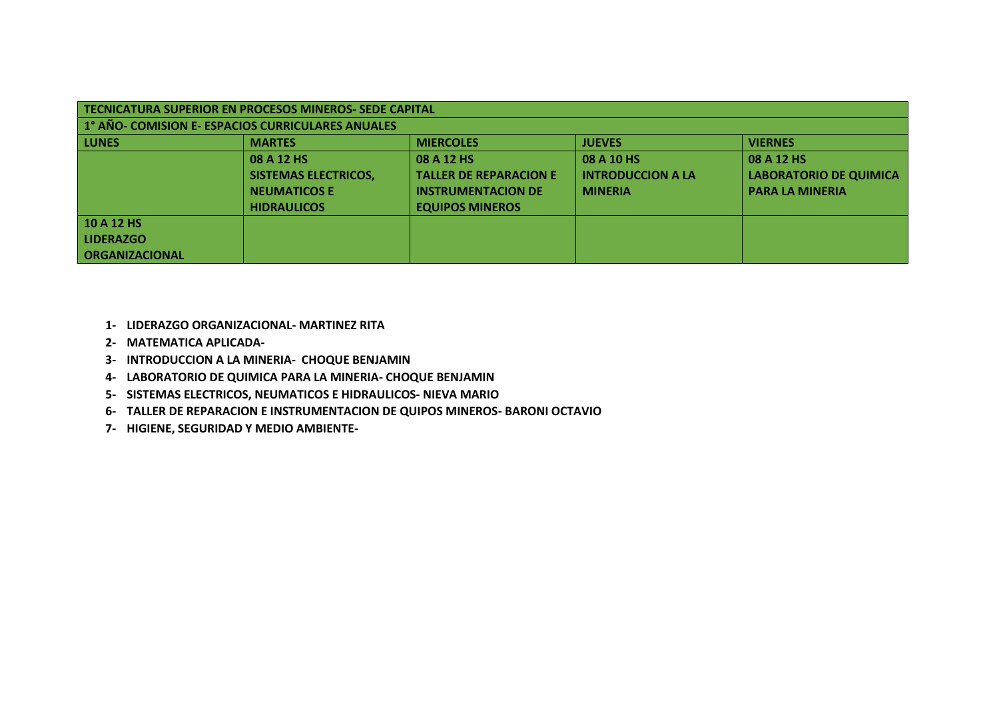| TECNICATURA SUPERIOR EN PROCESOS MINEROS- SEDE CAPITAL |                             |                               |                          |                               |
|--------------------------------------------------------|-----------------------------|-------------------------------|--------------------------|-------------------------------|
| 1° AÑO- COMISION E- ESPACIOS CURRICULARES ANUALES      |                             |                               |                          |                               |
| LUNES                                                  | <b>MARTES</b>               | <b>MIERCOLES</b>              | <b>JUEVES</b>            | <b>VIERNES</b>                |
|                                                        | 08 A 12 HS                  | 08 A 12 HS                    | 08 A 10 HS               | 08 A 12 HS                    |
|                                                        | <b>SISTEMAS ELECTRICOS,</b> | <b>TALLER DE REPARACION E</b> | <b>INTRODUCCION A LA</b> | <b>LABORATORIO DE QUIMICA</b> |
|                                                        | <b>NEUMATICOS E</b>         | <b>INSTRUMENTACION DE</b>     | <b>MINERIA</b>           | <b>PARA LA MINERIA</b>        |
|                                                        | <b>HIDRAULICOS</b>          | <b>EQUIPOS MINEROS</b>        |                          |                               |
| 10 A 12 HS                                             |                             |                               |                          |                               |
| LIDERAZGO                                              |                             |                               |                          |                               |
| <b>ORGANIZACIONAL</b>                                  |                             |                               |                          |                               |

- **1- LIDERAZGO ORGANIZACIONAL- MARTINEZ RITA**
- **2- MATEMATICA APLICADA-**
- **3- INTRODUCCION A LA MINERIA- CHOQUE BENJAMIN**
- **4- LABORATORIO DE QUIMICA PARA LA MINERIA- CHOQUE BENJAMIN**
- **5- SISTEMAS ELECTRICOS, NEUMATICOS E HIDRAULICOS- NIEVA MARIO**
- **6- TALLER DE REPARACION E INSTRUMENTACION DE QUIPOS MINEROS- BARONI OCTAVIO**
- **7- HIGIENE, SEGURIDAD Y MEDIO AMBIENTE-**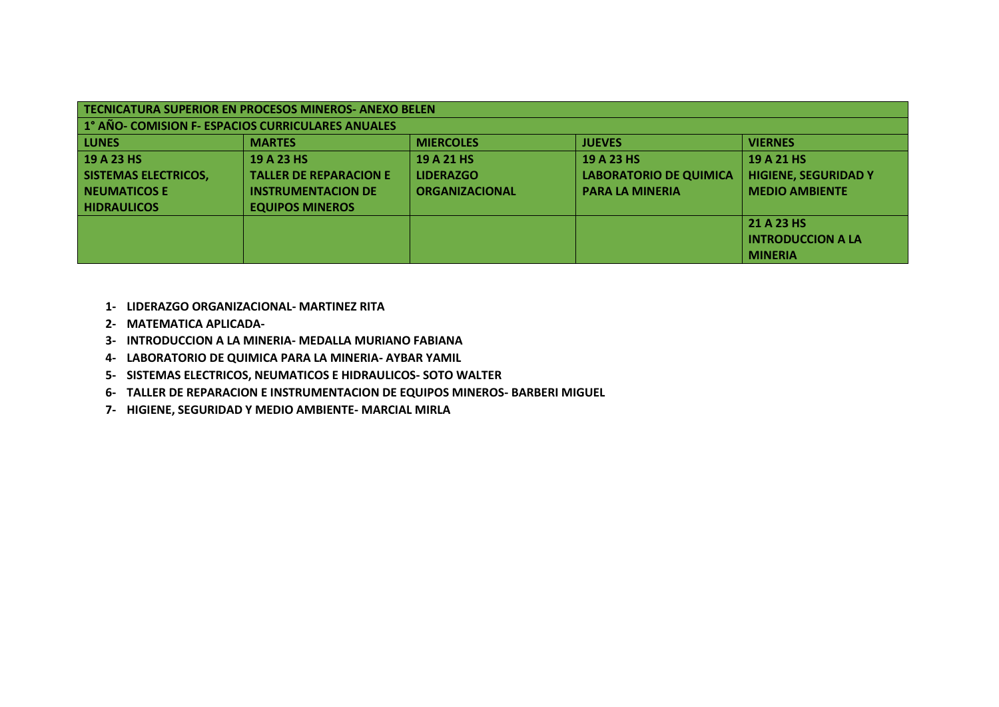| TECNICATURA SUPERIOR EN PROCESOS MINEROS-ANEXO BELEN |                               |                       |                               |                             |
|------------------------------------------------------|-------------------------------|-----------------------|-------------------------------|-----------------------------|
| 1° AÑO- COMISION F- ESPACIOS CURRICULARES ANUALES    |                               |                       |                               |                             |
| <b>LUNES</b>                                         | <b>MARTES</b>                 | <b>MIERCOLES</b>      | <b>JUEVES</b>                 | <b>VIERNES</b>              |
| 19 A 23 HS                                           | 19 A 23 HS                    | 19 A 21 HS            | 19 A 23 HS                    | 19 A 21 HS                  |
| SISTEMAS ELECTRICOS,                                 | <b>TALLER DE REPARACION E</b> | <b>LIDERAZGO</b>      | <b>LABORATORIO DE QUIMICA</b> | <b>HIGIENE, SEGURIDAD Y</b> |
| <b>NEUMATICOS E</b>                                  | <b>INSTRUMENTACION DE</b>     | <b>ORGANIZACIONAL</b> | <b>PARA LA MINERIA</b>        | <b>MEDIO AMBIENTE</b>       |
| <b>HIDRAULICOS</b>                                   | <b>EQUIPOS MINEROS</b>        |                       |                               |                             |
|                                                      |                               |                       |                               | 21 A 23 HS                  |
|                                                      |                               |                       |                               | <b>INTRODUCCION A LA</b>    |
|                                                      |                               |                       |                               | <b>MINERIA</b>              |

- **1- LIDERAZGO ORGANIZACIONAL- MARTINEZ RITA**
- **2- MATEMATICA APLICADA-**
- **3- INTRODUCCION A LA MINERIA- MEDALLA MURIANO FABIANA**
- **4- LABORATORIO DE QUIMICA PARA LA MINERIA- AYBAR YAMIL**
- **5- SISTEMAS ELECTRICOS, NEUMATICOS E HIDRAULICOS- SOTO WALTER**
- **6- TALLER DE REPARACION E INSTRUMENTACION DE EQUIPOS MINEROS- BARBERI MIGUEL**
- **7- HIGIENE, SEGURIDAD Y MEDIO AMBIENTE- MARCIAL MIRLA**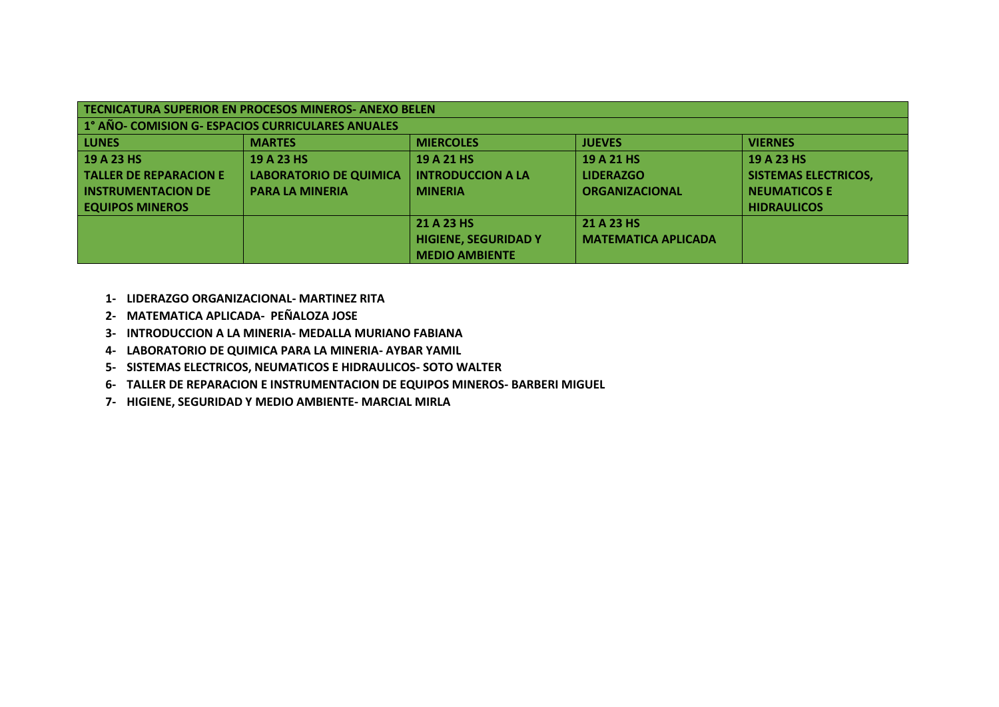| TECNICATURA SUPERIOR EN PROCESOS MINEROS- ANEXO BELEN |                               |                             |                            |                             |
|-------------------------------------------------------|-------------------------------|-----------------------------|----------------------------|-----------------------------|
| 1° AÑO- COMISION G- ESPACIOS CURRICULARES ANUALES     |                               |                             |                            |                             |
| <b>LUNES</b>                                          | <b>MARTES</b>                 | <b>MIERCOLES</b>            | <b>JUEVES</b>              | <b>VIERNES</b>              |
| 19 A 23 HS                                            | 19 A 23 HS                    | 19 A 21 HS                  | 19 A 21 HS                 | 19 A 23 HS                  |
| <b>TALLER DE REPARACION E</b>                         | <b>LABORATORIO DE QUIMICA</b> | <b>INTRODUCCION A LA</b>    | <b>LIDERAZGO</b>           | <b>SISTEMAS ELECTRICOS,</b> |
| <b>INSTRUMENTACION DE</b>                             | <b>PARA LA MINERIA</b>        | <b>MINERIA</b>              | <b>ORGANIZACIONAL</b>      | <b>NEUMATICOS E</b>         |
| <b>EQUIPOS MINEROS</b>                                |                               |                             |                            | <b>HIDRAULICOS</b>          |
|                                                       |                               | 21 A 23 HS                  | 21 A 23 HS                 |                             |
|                                                       |                               | <b>HIGIENE, SEGURIDAD Y</b> | <b>MATEMATICA APLICADA</b> |                             |
|                                                       |                               | <b>MEDIO AMBIENTE</b>       |                            |                             |

- **1- LIDERAZGO ORGANIZACIONAL- MARTINEZ RITA**
- **2- MATEMATICA APLICADA- PEÑALOZA JOSE**
- **3- INTRODUCCION A LA MINERIA- MEDALLA MURIANO FABIANA**
- **4- LABORATORIO DE QUIMICA PARA LA MINERIA- AYBAR YAMIL**
- **5- SISTEMAS ELECTRICOS, NEUMATICOS E HIDRAULICOS- SOTO WALTER**
- **6- TALLER DE REPARACION E INSTRUMENTACION DE EQUIPOS MINEROS- BARBERI MIGUEL**
- **7- HIGIENE, SEGURIDAD Y MEDIO AMBIENTE- MARCIAL MIRLA**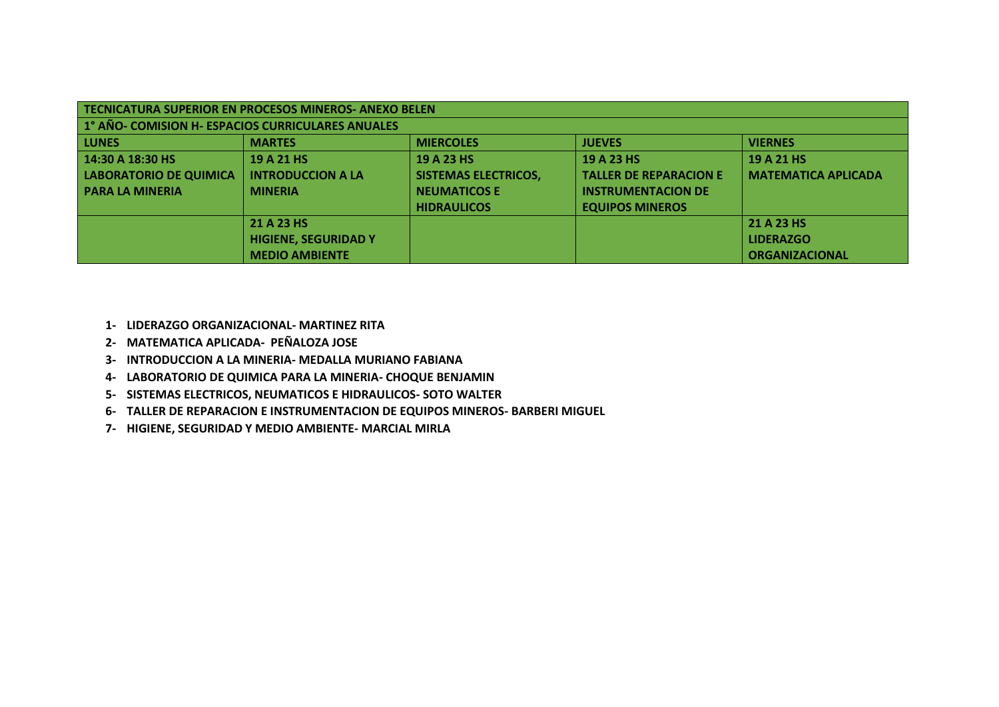| TECNICATURA SUPERIOR EN PROCESOS MINEROS-ANEXO BELEN |                             |                             |                               |                            |
|------------------------------------------------------|-----------------------------|-----------------------------|-------------------------------|----------------------------|
| 1° AÑO- COMISION H- ESPACIOS CURRICULARES ANUALES    |                             |                             |                               |                            |
| <b>LUNES</b>                                         | <b>MARTES</b>               | <b>MIERCOLES</b>            | <b>JUEVES</b>                 | <b>VIERNES</b>             |
| 14:30 A 18:30 HS                                     | 19 A 21 HS                  | 19 A 23 HS                  | 19 A 23 HS                    | 19 A 21 HS                 |
| LABORATORIO DE QUIMICA                               | <b>INTRODUCCION A LA</b>    | <b>SISTEMAS ELECTRICOS,</b> | <b>TALLER DE REPARACION E</b> | <b>MATEMATICA APLICADA</b> |
| <b>PARA LA MINERIA</b>                               | <b>MINERIA</b>              | <b>NEUMATICOS E</b>         | <b>INSTRUMENTACION DE</b>     |                            |
|                                                      |                             | <b>HIDRAULICOS</b>          | <b>EQUIPOS MINEROS</b>        |                            |
|                                                      | 21 A 23 HS                  |                             |                               | 21 A 23 HS                 |
|                                                      | <b>HIGIENE, SEGURIDAD Y</b> |                             |                               | <b>LIDERAZGO</b>           |
|                                                      | <b>MEDIO AMBIENTE</b>       |                             |                               | <b>ORGANIZACIONAL</b>      |

- **1- LIDERAZGO ORGANIZACIONAL- MARTINEZ RITA**
- **2- MATEMATICA APLICADA- PEÑALOZA JOSE**
- **3- INTRODUCCION A LA MINERIA- MEDALLA MURIANO FABIANA**
- **4- LABORATORIO DE QUIMICA PARA LA MINERIA- CHOQUE BENJAMIN**
- **5- SISTEMAS ELECTRICOS, NEUMATICOS E HIDRAULICOS- SOTO WALTER**
- **6- TALLER DE REPARACION E INSTRUMENTACION DE EQUIPOS MINEROS- BARBERI MIGUEL**
- **7- HIGIENE, SEGURIDAD Y MEDIO AMBIENTE- MARCIAL MIRLA**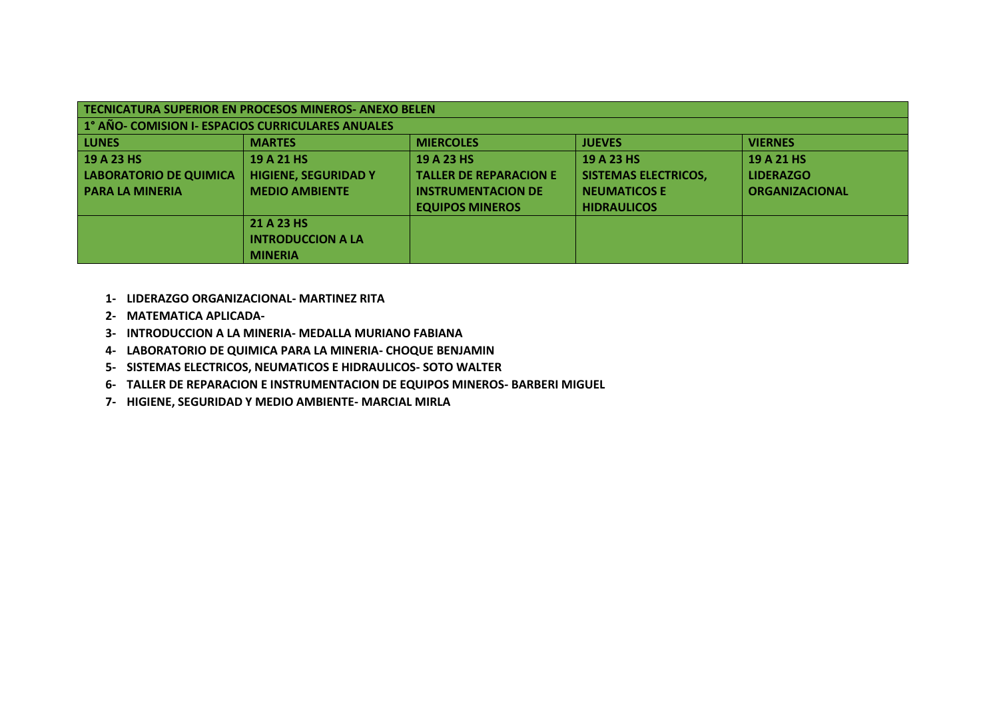| TECNICATURA SUPERIOR EN PROCESOS MINEROS- ANEXO BELEN |                             |                               |                             |                       |  |
|-------------------------------------------------------|-----------------------------|-------------------------------|-----------------------------|-----------------------|--|
| 1° AÑO- COMISION I- ESPACIOS CURRICULARES ANUALES     |                             |                               |                             |                       |  |
| <b>LUNES</b>                                          | <b>MARTES</b>               | <b>MIERCOLES</b>              | <b>JUEVES</b>               | <b>VIERNES</b>        |  |
| 19 A 23 HS                                            | 19 A 21 HS                  | 19 A 23 HS                    | 19 A 23 HS                  | 19 A 21 HS            |  |
| LABORATORIO DE QUIMICA                                | <b>HIGIENE, SEGURIDAD Y</b> | <b>TALLER DE REPARACION E</b> | <b>SISTEMAS ELECTRICOS,</b> | <b>LIDERAZGO</b>      |  |
| <b>PARA LA MINERIA</b>                                | <b>MEDIO AMBIENTE</b>       | <b>INSTRUMENTACION DE</b>     | <b>NEUMATICOS E</b>         | <b>ORGANIZACIONAL</b> |  |
|                                                       |                             | <b>EQUIPOS MINEROS</b>        | <b>HIDRAULICOS</b>          |                       |  |
|                                                       | 21 A 23 HS                  |                               |                             |                       |  |
| <b>INTRODUCCION A LA</b>                              |                             |                               |                             |                       |  |
|                                                       | <b>MINERIA</b>              |                               |                             |                       |  |

- **1- LIDERAZGO ORGANIZACIONAL- MARTINEZ RITA**
- **2- MATEMATICA APLICADA-**
- **3- INTRODUCCION A LA MINERIA- MEDALLA MURIANO FABIANA**
- **4- LABORATORIO DE QUIMICA PARA LA MINERIA- CHOQUE BENJAMIN**
- **5- SISTEMAS ELECTRICOS, NEUMATICOS E HIDRAULICOS- SOTO WALTER**
- **6- TALLER DE REPARACION E INSTRUMENTACION DE EQUIPOS MINEROS- BARBERI MIGUEL**
- **7- HIGIENE, SEGURIDAD Y MEDIO AMBIENTE- MARCIAL MIRLA**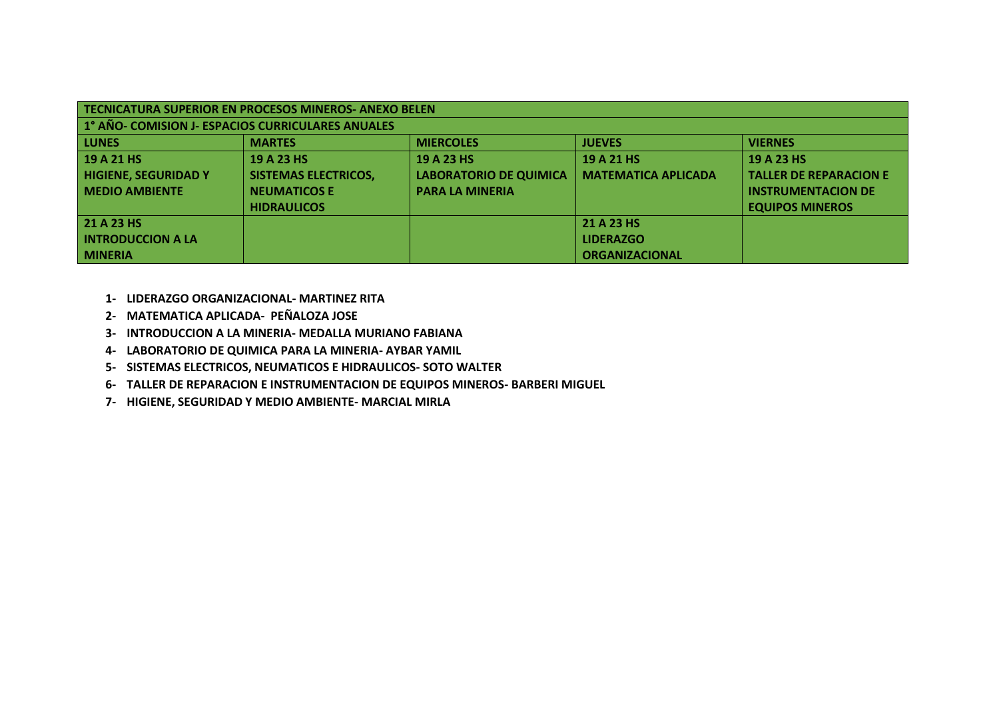| TECNICATURA SUPERIOR EN PROCESOS MINEROS-ANEXO BELEN |                             |                               |                            |                               |
|------------------------------------------------------|-----------------------------|-------------------------------|----------------------------|-------------------------------|
| 1° AÑO- COMISION J- ESPACIOS CURRICULARES ANUALES    |                             |                               |                            |                               |
| <b>LUNES</b>                                         | <b>MARTES</b>               | <b>MIERCOLES</b>              | <b>JUEVES</b>              | <b>VIERNES</b>                |
| 19 A 21 HS                                           | 19 A 23 HS                  | 19 A 23 HS                    | 19 A 21 HS                 | 19 A 23 HS                    |
| <b>HIGIENE, SEGURIDAD Y</b>                          | <b>SISTEMAS ELECTRICOS,</b> | <b>LABORATORIO DE QUIMICA</b> | <b>MATEMATICA APLICADA</b> | <b>TALLER DE REPARACION E</b> |
| <b>MEDIO AMBIENTE</b>                                | <b>NEUMATICOS E</b>         | <b>PARA LA MINERIA</b>        |                            | <b>INSTRUMENTACION DE</b>     |
|                                                      | <b>HIDRAULICOS</b>          |                               |                            | <b>EQUIPOS MINEROS</b>        |
| 21 A 23 HS                                           |                             |                               | 21 A 23 HS                 |                               |
| <b>INTRODUCCION A LA</b>                             |                             |                               | <b>LIDERAZGO</b>           |                               |
| <b>MINERIA</b>                                       |                             |                               | <b>ORGANIZACIONAL</b>      |                               |

- **1- LIDERAZGO ORGANIZACIONAL- MARTINEZ RITA**
- **2- MATEMATICA APLICADA- PEÑALOZA JOSE**
- **3- INTRODUCCION A LA MINERIA- MEDALLA MURIANO FABIANA**
- **4- LABORATORIO DE QUIMICA PARA LA MINERIA- AYBAR YAMIL**
- **5- SISTEMAS ELECTRICOS, NEUMATICOS E HIDRAULICOS- SOTO WALTER**
- **6- TALLER DE REPARACION E INSTRUMENTACION DE EQUIPOS MINEROS- BARBERI MIGUEL**
- **7- HIGIENE, SEGURIDAD Y MEDIO AMBIENTE- MARCIAL MIRLA**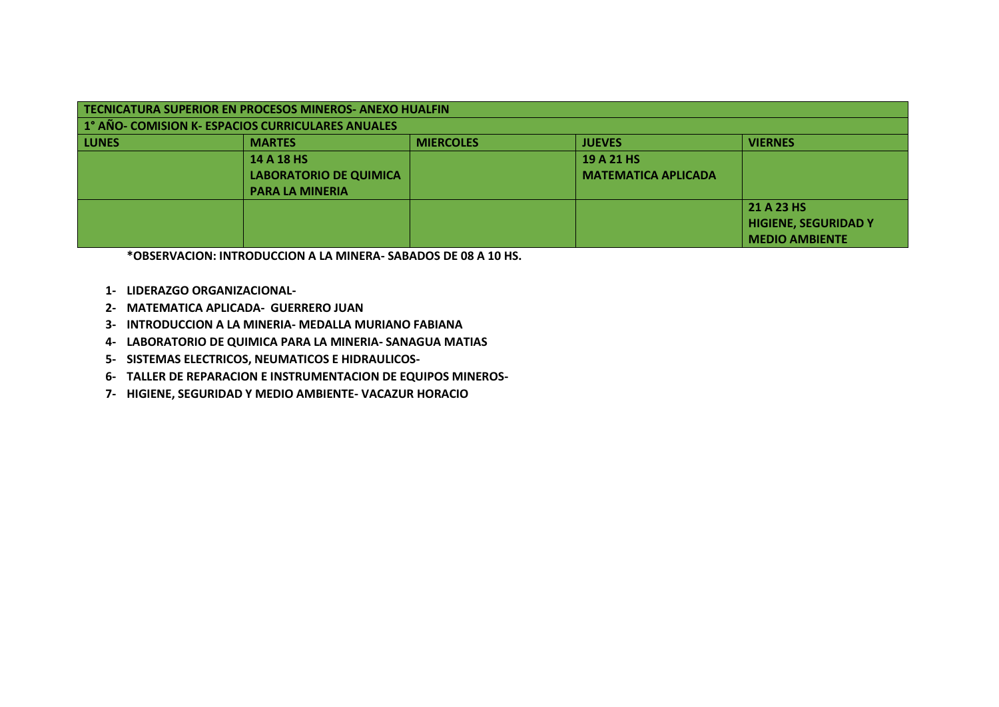| TECNICATURA SUPERIOR EN PROCESOS MINEROS- ANEXO HUALFIN |                               |                  |                            |                             |
|---------------------------------------------------------|-------------------------------|------------------|----------------------------|-----------------------------|
| 1° AÑO- COMISION K- ESPACIOS CURRICULARES ANUALES       |                               |                  |                            |                             |
| <b>LUNES</b>                                            | <b>MARTES</b>                 | <b>MIERCOLES</b> | <b>JUEVES</b>              | <b>VIERNES</b>              |
|                                                         | 14 A 18 HS                    |                  | 19 A 21 HS                 |                             |
|                                                         | <b>LABORATORIO DE QUIMICA</b> |                  | <b>MATEMATICA APLICADA</b> |                             |
|                                                         | <b>PARA LA MINERIA</b>        |                  |                            |                             |
|                                                         |                               |                  |                            | 21 A 23 HS                  |
|                                                         |                               |                  |                            | <b>HIGIENE, SEGURIDAD Y</b> |
|                                                         |                               |                  |                            | <b>MEDIO AMBIENTE</b>       |

**\*OBSERVACION: INTRODUCCION A LA MINERA- SABADOS DE 08 A 10 HS.**

- **1- LIDERAZGO ORGANIZACIONAL-**
- **2- MATEMATICA APLICADA- GUERRERO JUAN**
- **3- INTRODUCCION A LA MINERIA- MEDALLA MURIANO FABIANA**
- **4- LABORATORIO DE QUIMICA PARA LA MINERIA- SANAGUA MATIAS**
- **5- SISTEMAS ELECTRICOS, NEUMATICOS E HIDRAULICOS-**
- **6- TALLER DE REPARACION E INSTRUMENTACION DE EQUIPOS MINEROS-**
- **7- HIGIENE, SEGURIDAD Y MEDIO AMBIENTE- VACAZUR HORACIO**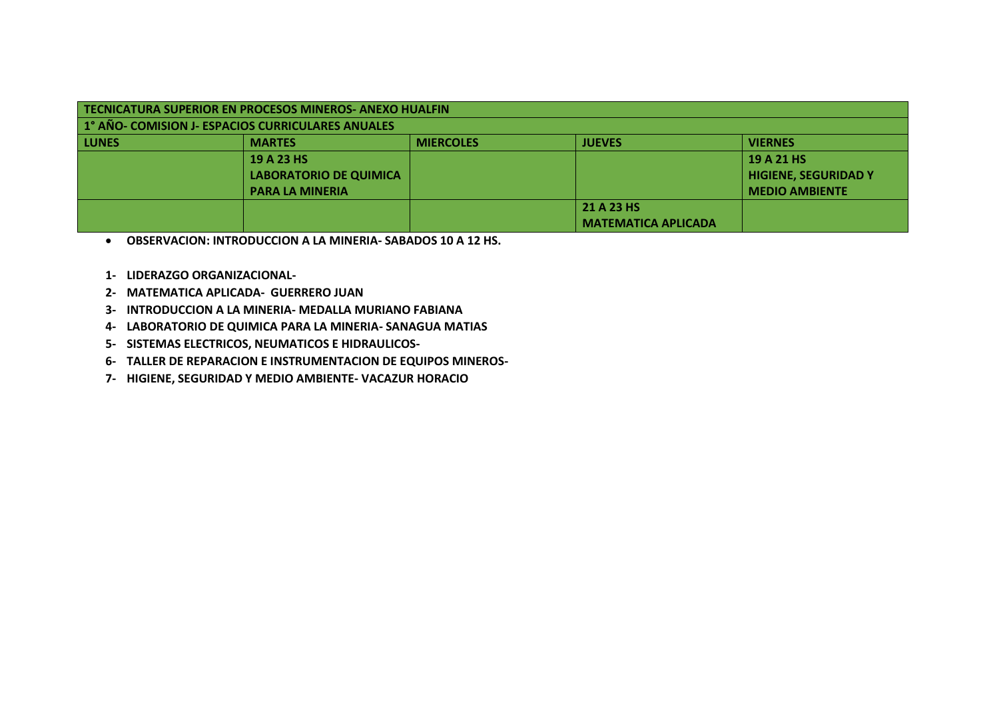| TECNICATURA SUPERIOR EN PROCESOS MINEROS- ANEXO HUALFIN<br>1° AÑO- COMISION J- ESPACIOS CURRICULARES ANUALES |                               |                  |                            |                             |  |
|--------------------------------------------------------------------------------------------------------------|-------------------------------|------------------|----------------------------|-----------------------------|--|
| <b>LUNES</b>                                                                                                 | <b>MARTES</b>                 | <b>MIERCOLES</b> | <b>JUEVES</b>              | <b>VIERNES</b>              |  |
|                                                                                                              | 19 A 23 HS                    |                  |                            | 19 A 21 HS                  |  |
|                                                                                                              | <b>LABORATORIO DE QUIMICA</b> |                  |                            | <b>HIGIENE, SEGURIDAD Y</b> |  |
|                                                                                                              | <b>PARA LA MINERIA</b>        |                  |                            | <b>MEDIO AMBIENTE</b>       |  |
| 21 A 23 HS                                                                                                   |                               |                  |                            |                             |  |
|                                                                                                              |                               |                  | <b>MATEMATICA APLICADA</b> |                             |  |

**OBSERVACION: INTRODUCCION A LA MINERIA- SABADOS 10 A 12 HS.**

- **1- LIDERAZGO ORGANIZACIONAL-**
- **2- MATEMATICA APLICADA- GUERRERO JUAN**
- **3- INTRODUCCION A LA MINERIA- MEDALLA MURIANO FABIANA**
- **4- LABORATORIO DE QUIMICA PARA LA MINERIA- SANAGUA MATIAS**
- **5- SISTEMAS ELECTRICOS, NEUMATICOS E HIDRAULICOS-**
- **6- TALLER DE REPARACION E INSTRUMENTACION DE EQUIPOS MINEROS-**
- **7- HIGIENE, SEGURIDAD Y MEDIO AMBIENTE- VACAZUR HORACIO**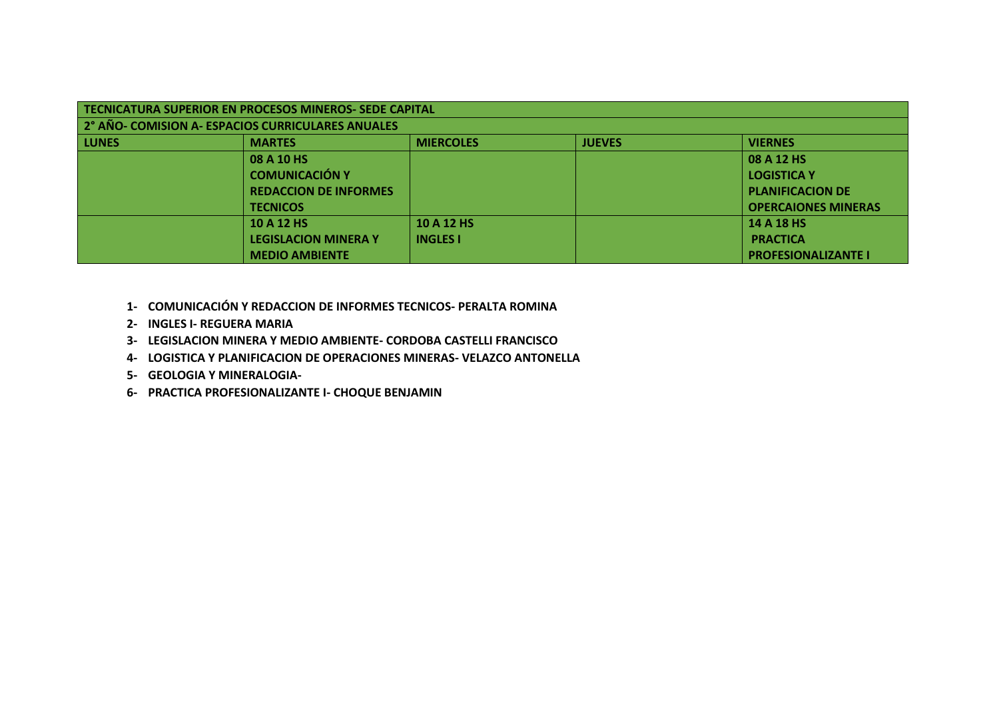| TECNICATURA SUPERIOR EN PROCESOS MINEROS- SEDE CAPITAL |                                                   |                  |               |                            |  |
|--------------------------------------------------------|---------------------------------------------------|------------------|---------------|----------------------------|--|
|                                                        | 2° AÑO- COMISION A- ESPACIOS CURRICULARES ANUALES |                  |               |                            |  |
| <b>LUNES</b>                                           | <b>MARTES</b>                                     | <b>MIERCOLES</b> | <b>JUEVES</b> | <b>VIERNES</b>             |  |
|                                                        | 08 A 10 HS                                        |                  |               | 08 A 12 HS                 |  |
|                                                        | <b>COMUNICACIÓN Y</b>                             |                  |               | <b>LOGISTICA Y</b>         |  |
|                                                        | <b>REDACCION DE INFORMES</b>                      |                  |               | <b>PLANIFICACION DE</b>    |  |
|                                                        | <b>TECNICOS</b>                                   |                  |               | <b>OPERCAIONES MINERAS</b> |  |
|                                                        | 10 A 12 HS                                        | 10 A 12 HS       |               | 14 A 18 HS                 |  |
|                                                        | <b>LEGISLACION MINERA Y</b>                       | <b>INGLES I</b>  |               | <b>PRACTICA</b>            |  |
|                                                        | <b>MEDIO AMBIENTE</b>                             |                  |               | <b>PROFESIONALIZANTE I</b> |  |

- **1- COMUNICACIÓN Y REDACCION DE INFORMES TECNICOS- PERALTA ROMINA**
- **2- INGLES I- REGUERA MARIA**
- **3- LEGISLACION MINERA Y MEDIO AMBIENTE- CORDOBA CASTELLI FRANCISCO**
- **4- LOGISTICA Y PLANIFICACION DE OPERACIONES MINERAS- VELAZCO ANTONELLA**
- **5- GEOLOGIA Y MINERALOGIA-**
- **6- PRACTICA PROFESIONALIZANTE I- CHOQUE BENJAMIN**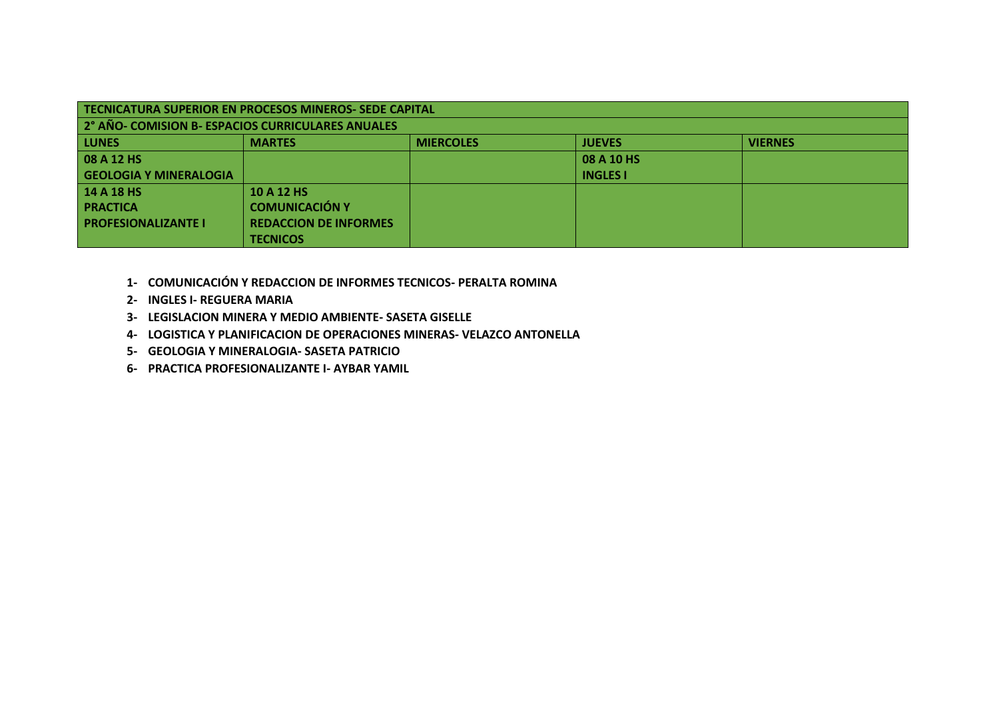| <b>TECNICATURA SUPERIOR EN PROCESOS MINEROS- SEDE CAPITAL</b> |                              |                  |                 |                |  |
|---------------------------------------------------------------|------------------------------|------------------|-----------------|----------------|--|
| 2° AÑO- COMISION B- ESPACIOS CURRICULARES ANUALES             |                              |                  |                 |                |  |
| <b>LUNES</b>                                                  | <b>MARTES</b>                | <b>MIERCOLES</b> | <b>JUEVES</b>   | <b>VIERNES</b> |  |
| 08 A 12 HS                                                    |                              |                  | 08 A 10 HS      |                |  |
| <b>GEOLOGIA Y MINERALOGIA</b>                                 |                              |                  | <b>INGLES I</b> |                |  |
| <b>14 A 18 HS</b>                                             | 10 A 12 HS                   |                  |                 |                |  |
| <b>PRACTICA</b>                                               | <b>COMUNICACIÓN Y</b>        |                  |                 |                |  |
| <b>PROFESIONALIZANTE I</b>                                    | <b>REDACCION DE INFORMES</b> |                  |                 |                |  |
|                                                               | <b>TECNICOS</b>              |                  |                 |                |  |

- **1- COMUNICACIÓN Y REDACCION DE INFORMES TECNICOS- PERALTA ROMINA**
- **2- INGLES I- REGUERA MARIA**
- **3- LEGISLACION MINERA Y MEDIO AMBIENTE- SASETA GISELLE**
- **4- LOGISTICA Y PLANIFICACION DE OPERACIONES MINERAS- VELAZCO ANTONELLA**
- **5- GEOLOGIA Y MINERALOGIA- SASETA PATRICIO**
- **6- PRACTICA PROFESIONALIZANTE I- AYBAR YAMIL**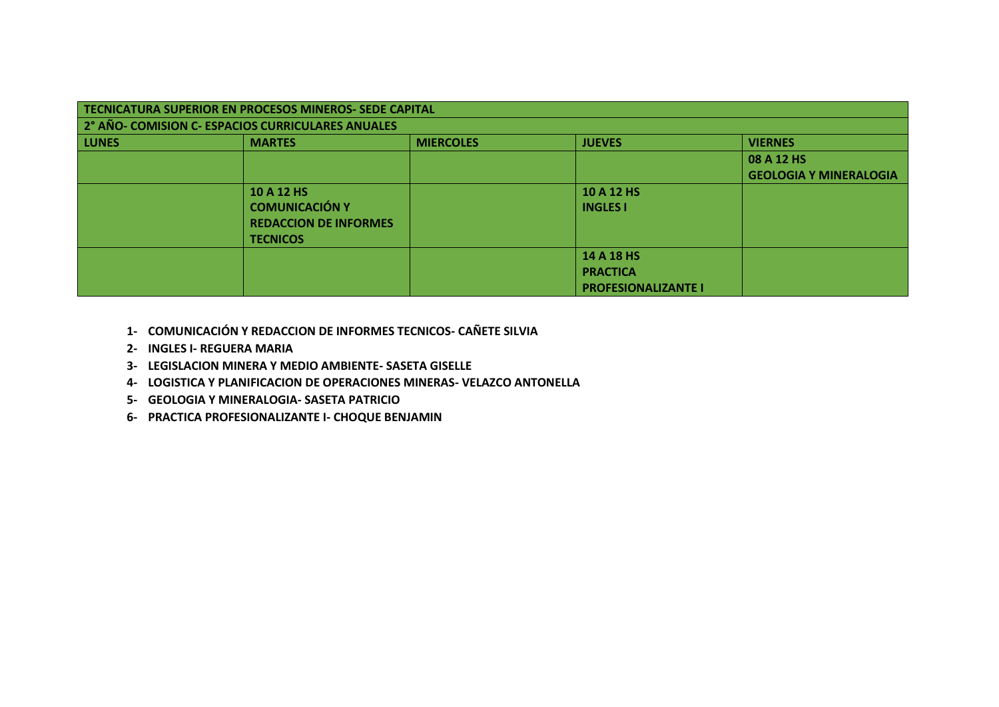|              | TECNICATURA SUPERIOR EN PROCESOS MINEROS- SEDE CAPITAL               |  |                            |                               |  |  |  |
|--------------|----------------------------------------------------------------------|--|----------------------------|-------------------------------|--|--|--|
|              | 2° AÑO- COMISION C- ESPACIOS CURRICULARES ANUALES                    |  |                            |                               |  |  |  |
| <b>LUNES</b> | <b>MIERCOLES</b><br><b>JUEVES</b><br><b>VIERNES</b><br><b>MARTES</b> |  |                            |                               |  |  |  |
|              |                                                                      |  |                            | 08 A 12 HS                    |  |  |  |
|              |                                                                      |  |                            | <b>GEOLOGIA Y MINERALOGIA</b> |  |  |  |
|              | 10 A 12 HS                                                           |  | 10 A 12 HS                 |                               |  |  |  |
|              | <b>COMUNICACIÓN Y</b>                                                |  | <b>INGLES I</b>            |                               |  |  |  |
|              | <b>REDACCION DE INFORMES</b>                                         |  |                            |                               |  |  |  |
|              | <b>TECNICOS</b>                                                      |  |                            |                               |  |  |  |
|              |                                                                      |  | 14 A 18 HS                 |                               |  |  |  |
|              |                                                                      |  | <b>PRACTICA</b>            |                               |  |  |  |
|              |                                                                      |  | <b>PROFESIONALIZANTE I</b> |                               |  |  |  |

- **1- COMUNICACIÓN Y REDACCION DE INFORMES TECNICOS- CAÑETE SILVIA**
- **2- INGLES I- REGUERA MARIA**
- **3- LEGISLACION MINERA Y MEDIO AMBIENTE- SASETA GISELLE**
- **4- LOGISTICA Y PLANIFICACION DE OPERACIONES MINERAS- VELAZCO ANTONELLA**
- **5- GEOLOGIA Y MINERALOGIA- SASETA PATRICIO**
- **6- PRACTICA PROFESIONALIZANTE I- CHOQUE BENJAMIN**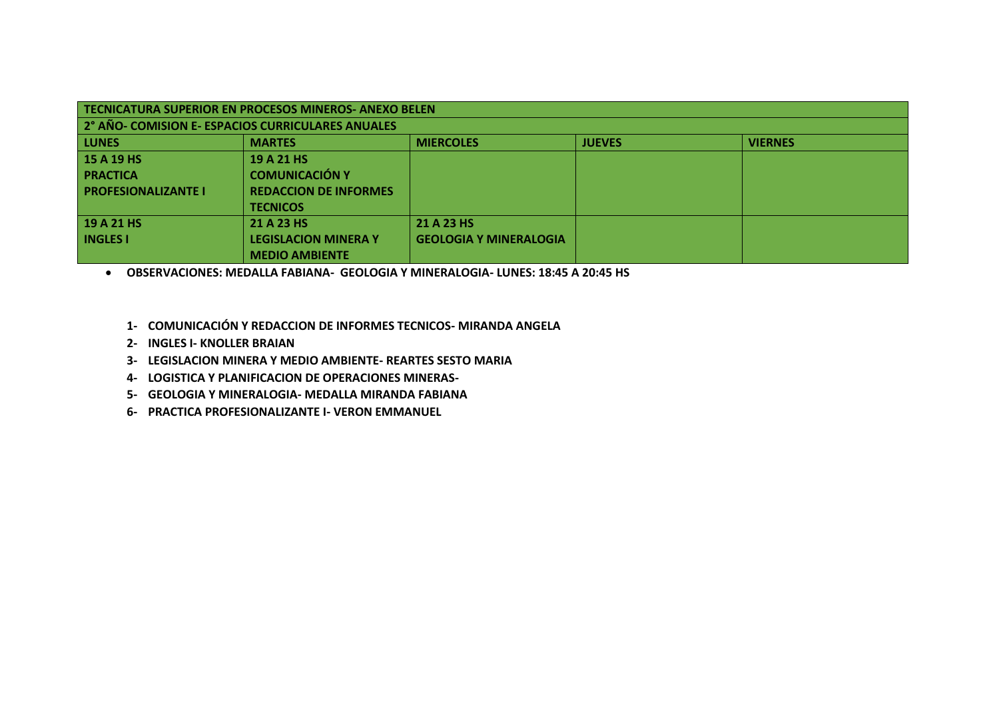| TECNICATURA SUPERIOR EN PROCESOS MINEROS-ANEXO BELEN |                              |                               |               |                |  |
|------------------------------------------------------|------------------------------|-------------------------------|---------------|----------------|--|
| 2° AÑO- COMISION E- ESPACIOS CURRICULARES ANUALES    |                              |                               |               |                |  |
| <b>LUNES</b>                                         | <b>MARTES</b>                | <b>MIERCOLES</b>              | <b>JUEVES</b> | <b>VIERNES</b> |  |
| 15 A 19 HS                                           | 19 A 21 HS                   |                               |               |                |  |
| <b>PRACTICA</b>                                      | <b>COMUNICACIÓN Y</b>        |                               |               |                |  |
| <b>PROFESIONALIZANTE I</b>                           | <b>REDACCION DE INFORMES</b> |                               |               |                |  |
|                                                      | <b>TECNICOS</b>              |                               |               |                |  |
| 19 A 21 HS                                           | 21 A 23 HS                   | 21 A 23 HS                    |               |                |  |
| <b>INGLES I</b>                                      | <b>LEGISLACION MINERA Y</b>  | <b>GEOLOGIA Y MINERALOGIA</b> |               |                |  |
|                                                      | <b>MEDIO AMBIENTE</b>        |                               |               |                |  |

**OBSERVACIONES: MEDALLA FABIANA- GEOLOGIA Y MINERALOGIA- LUNES: 18:45 A 20:45 HS**

- **1- COMUNICACIÓN Y REDACCION DE INFORMES TECNICOS- MIRANDA ANGELA**
- **2- INGLES I- KNOLLER BRAIAN**
- **3- LEGISLACION MINERA Y MEDIO AMBIENTE- REARTES SESTO MARIA**
- **4- LOGISTICA Y PLANIFICACION DE OPERACIONES MINERAS-**
- **5- GEOLOGIA Y MINERALOGIA- MEDALLA MIRANDA FABIANA**
- **6- PRACTICA PROFESIONALIZANTE I- VERON EMMANUEL**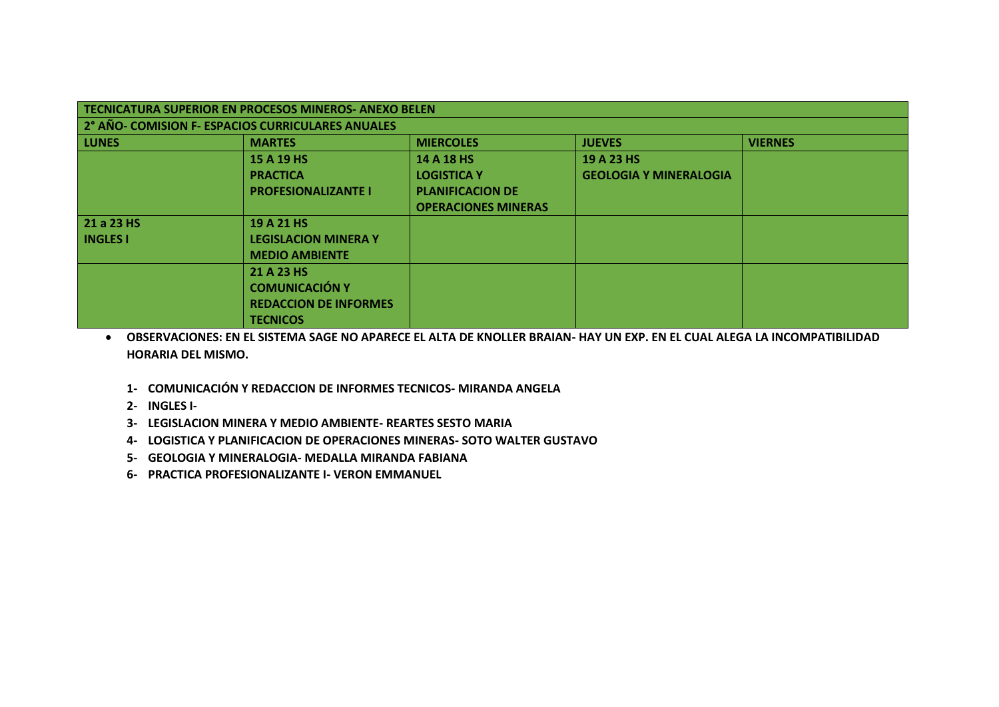| <b>TECNICATURA SUPERIOR EN PROCESOS MINEROS- ANEXO BELEN</b> |                              |                            |                               |                |  |
|--------------------------------------------------------------|------------------------------|----------------------------|-------------------------------|----------------|--|
| 2° AÑO- COMISION F- ESPACIOS CURRICULARES ANUALES            |                              |                            |                               |                |  |
| <b>LUNES</b>                                                 | <b>MARTES</b>                | <b>MIERCOLES</b>           | <b>JUEVES</b>                 | <b>VIERNES</b> |  |
|                                                              | 15 A 19 HS                   | 14 A 18 HS                 | 19 A 23 HS                    |                |  |
|                                                              | <b>PRACTICA</b>              | <b>LOGISTICA Y</b>         | <b>GEOLOGIA Y MINERALOGIA</b> |                |  |
|                                                              | <b>PROFESIONALIZANTE I</b>   | <b>PLANIFICACION DE</b>    |                               |                |  |
|                                                              |                              | <b>OPERACIONES MINERAS</b> |                               |                |  |
| 21 a 23 HS                                                   | 19 A 21 HS                   |                            |                               |                |  |
| <b>INGLES I</b>                                              | <b>LEGISLACION MINERA Y</b>  |                            |                               |                |  |
|                                                              | <b>MEDIO AMBIENTE</b>        |                            |                               |                |  |
|                                                              | 21 A 23 HS                   |                            |                               |                |  |
|                                                              | <b>COMUNICACIÓN Y</b>        |                            |                               |                |  |
|                                                              | <b>REDACCION DE INFORMES</b> |                            |                               |                |  |
|                                                              | <b>TECNICOS</b>              |                            |                               |                |  |

 **OBSERVACIONES: EN EL SISTEMA SAGE NO APARECE EL ALTA DE KNOLLER BRAIAN- HAY UN EXP. EN EL CUAL ALEGA LA INCOMPATIBILIDAD HORARIA DEL MISMO.**

- **1- COMUNICACIÓN Y REDACCION DE INFORMES TECNICOS- MIRANDA ANGELA**
- **2- INGLES I-**
- **3- LEGISLACION MINERA Y MEDIO AMBIENTE- REARTES SESTO MARIA**
- **4- LOGISTICA Y PLANIFICACION DE OPERACIONES MINERAS- SOTO WALTER GUSTAVO**
- **5- GEOLOGIA Y MINERALOGIA- MEDALLA MIRANDA FABIANA**
- **6- PRACTICA PROFESIONALIZANTE I- VERON EMMANUEL**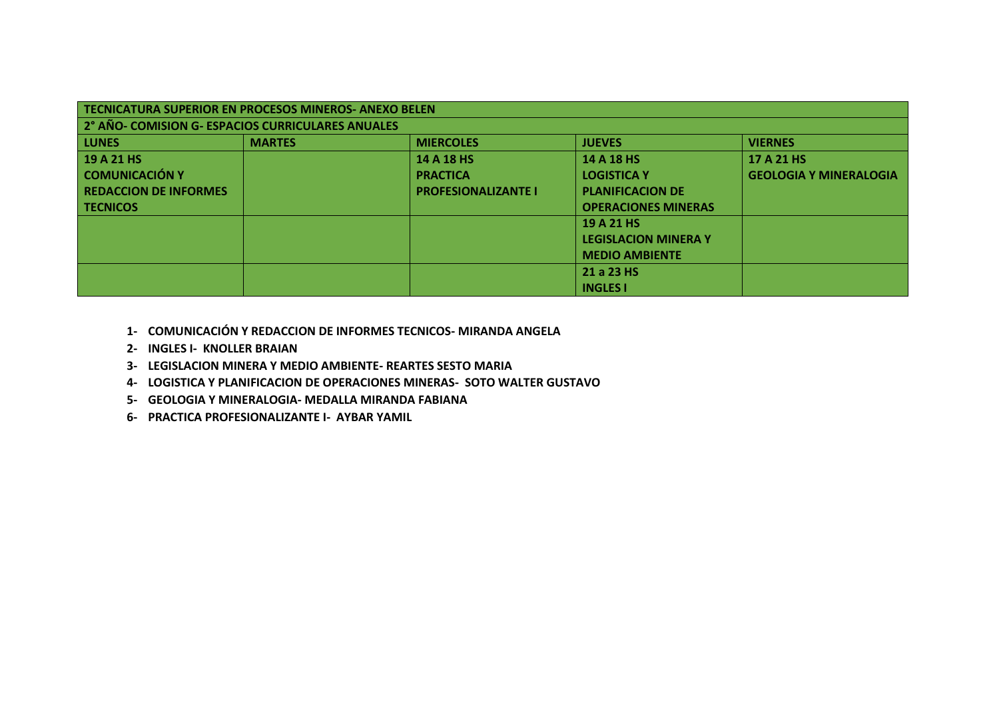| TECNICATURA SUPERIOR EN PROCESOS MINEROS-ANEXO BELEN |               |                            |                             |                               |  |
|------------------------------------------------------|---------------|----------------------------|-----------------------------|-------------------------------|--|
| 2° AÑO- COMISION G- ESPACIOS CURRICULARES ANUALES    |               |                            |                             |                               |  |
| <b>LUNES</b>                                         | <b>MARTES</b> | <b>MIERCOLES</b>           | <b>JUEVES</b>               | <b>VIERNES</b>                |  |
| 19 A 21 HS                                           |               | 14 A 18 HS                 | 14 A 18 HS                  | 17 A 21 HS                    |  |
| <b>COMUNICACIÓN Y</b>                                |               | <b>PRACTICA</b>            | <b>LOGISTICA Y</b>          | <b>GEOLOGIA Y MINERALOGIA</b> |  |
| <b>REDACCION DE INFORMES</b>                         |               | <b>PROFESIONALIZANTE I</b> | <b>PLANIFICACION DE</b>     |                               |  |
| i tecnicos                                           |               |                            | <b>OPERACIONES MINERAS</b>  |                               |  |
|                                                      |               |                            | 19 A 21 HS                  |                               |  |
|                                                      |               |                            | <b>LEGISLACION MINERA Y</b> |                               |  |
|                                                      |               |                            | <b>MEDIO AMBIENTE</b>       |                               |  |
|                                                      |               |                            | 21 a 23 HS                  |                               |  |
|                                                      |               |                            | <b>INGLES I</b>             |                               |  |

- **1- COMUNICACIÓN Y REDACCION DE INFORMES TECNICOS- MIRANDA ANGELA**
- **2- INGLES I- KNOLLER BRAIAN**
- **3- LEGISLACION MINERA Y MEDIO AMBIENTE- REARTES SESTO MARIA**
- **4- LOGISTICA Y PLANIFICACION DE OPERACIONES MINERAS- SOTO WALTER GUSTAVO**
- **5- GEOLOGIA Y MINERALOGIA- MEDALLA MIRANDA FABIANA**
- **6- PRACTICA PROFESIONALIZANTE I- AYBAR YAMIL**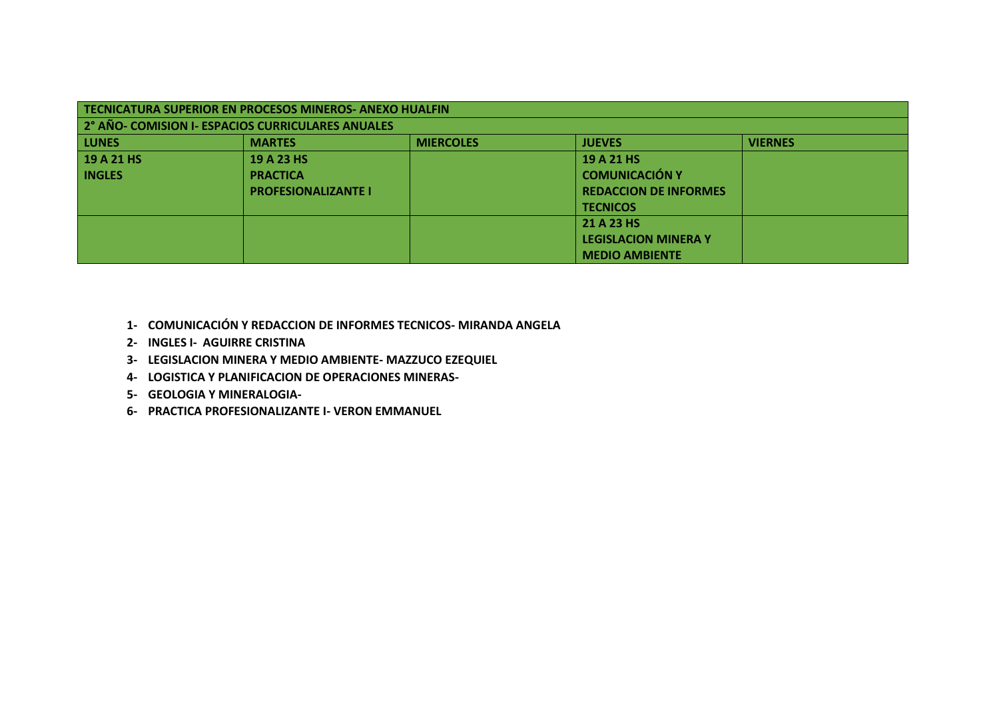| TECNICATURA SUPERIOR EN PROCESOS MINEROS-ANEXO HUALFIN |                                                   |                  |                              |                |  |
|--------------------------------------------------------|---------------------------------------------------|------------------|------------------------------|----------------|--|
|                                                        | 2° AÑO- COMISION I- ESPACIOS CURRICULARES ANUALES |                  |                              |                |  |
| <b>LUNES</b>                                           | <b>MARTES</b>                                     | <b>MIERCOLES</b> | <b>JUEVES</b>                | <b>VIERNES</b> |  |
| 19 A 21 HS                                             | 19 A 23 HS                                        |                  | 19 A 21 HS                   |                |  |
| <b>INGLES</b>                                          | <b>PRACTICA</b>                                   |                  | <b>COMUNICACIÓN Y</b>        |                |  |
|                                                        | <b>PROFESIONALIZANTE I</b>                        |                  | <b>REDACCION DE INFORMES</b> |                |  |
|                                                        |                                                   |                  | <b>TECNICOS</b>              |                |  |
|                                                        |                                                   |                  | 21 A 23 HS                   |                |  |
|                                                        |                                                   |                  | <b>LEGISLACION MINERA Y</b>  |                |  |
|                                                        |                                                   |                  | <b>MEDIO AMBIENTE</b>        |                |  |

- **1- COMUNICACIÓN Y REDACCION DE INFORMES TECNICOS- MIRANDA ANGELA**
- **2- INGLES I- AGUIRRE CRISTINA**
- **3- LEGISLACION MINERA Y MEDIO AMBIENTE- MAZZUCO EZEQUIEL**
- **4- LOGISTICA Y PLANIFICACION DE OPERACIONES MINERAS-**
- **5- GEOLOGIA Y MINERALOGIA-**
- **6- PRACTICA PROFESIONALIZANTE I- VERON EMMANUEL**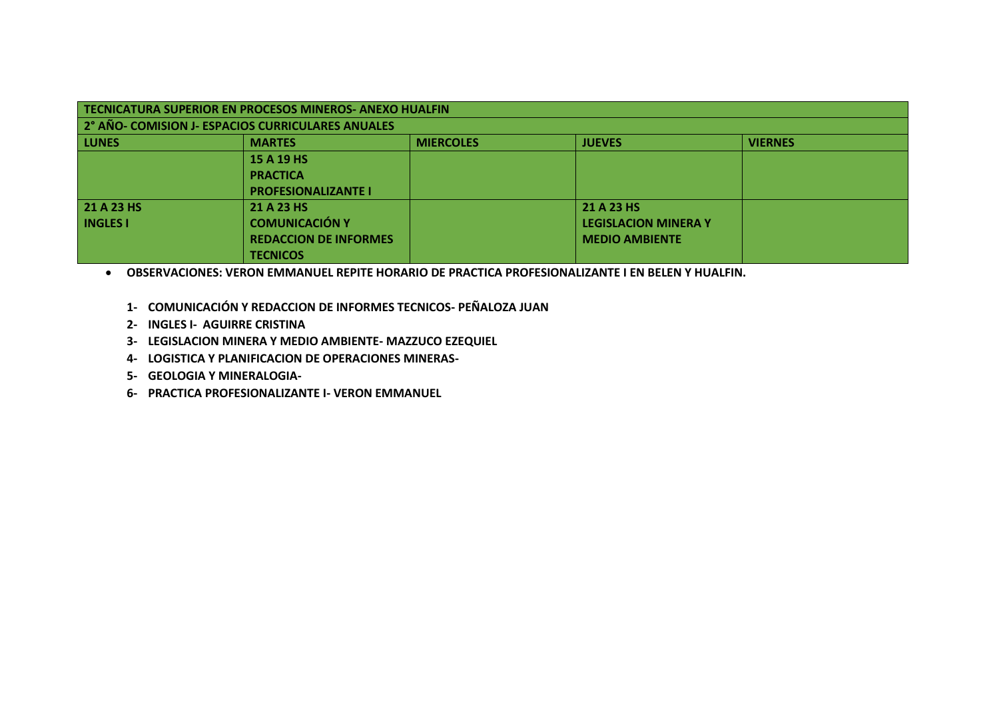| TECNICATURA SUPERIOR EN PROCESOS MINEROS- ANEXO HUALFIN |                            |                  |                             |                |  |
|---------------------------------------------------------|----------------------------|------------------|-----------------------------|----------------|--|
| 2° AÑO- COMISION J- ESPACIOS CURRICULARES ANUALES       |                            |                  |                             |                |  |
| <b>LUNES</b>                                            | <b>MARTES</b>              | <b>MIERCOLES</b> | <b>JUEVES</b>               | <b>VIERNES</b> |  |
|                                                         | 15 A 19 HS                 |                  |                             |                |  |
|                                                         | <b>PRACTICA</b>            |                  |                             |                |  |
|                                                         | <b>PROFESIONALIZANTE I</b> |                  |                             |                |  |
| 21 A 23 HS                                              | 21 A 23 HS                 |                  | 21 A 23 HS                  |                |  |
| <b>INGLES I</b>                                         | <b>COMUNICACIÓN Y</b>      |                  | <b>LEGISLACION MINERA Y</b> |                |  |
| <b>REDACCION DE INFORMES</b><br><b>MEDIO AMBIENTE</b>   |                            |                  |                             |                |  |
|                                                         | <b>TECNICOS</b>            |                  |                             |                |  |

**OBSERVACIONES: VERON EMMANUEL REPITE HORARIO DE PRACTICA PROFESIONALIZANTE I EN BELEN Y HUALFIN.**

- **1- COMUNICACIÓN Y REDACCION DE INFORMES TECNICOS- PEÑALOZA JUAN**
- **2- INGLES I- AGUIRRE CRISTINA**
- **3- LEGISLACION MINERA Y MEDIO AMBIENTE- MAZZUCO EZEQUIEL**
- **4- LOGISTICA Y PLANIFICACION DE OPERACIONES MINERAS-**
- **5- GEOLOGIA Y MINERALOGIA-**
- **6- PRACTICA PROFESIONALIZANTE I- VERON EMMANUEL**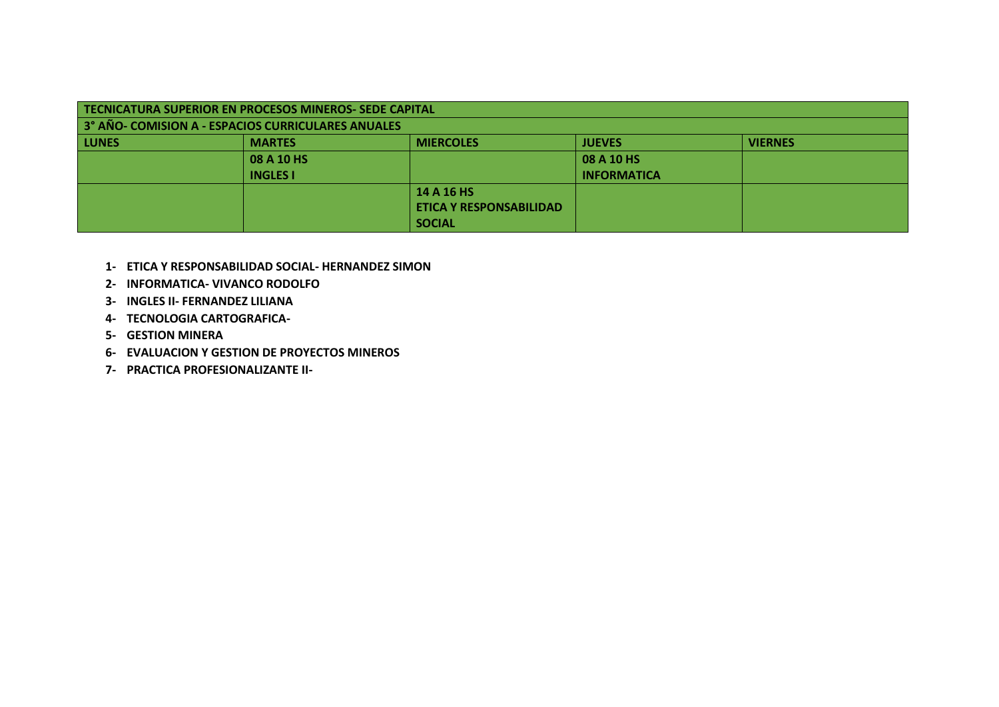| TECNICATURA SUPERIOR EN PROCESOS MINEROS- SEDE CAPITAL |                                                                      |               |                    |  |  |  |
|--------------------------------------------------------|----------------------------------------------------------------------|---------------|--------------------|--|--|--|
| 3° AÑO- COMISION A - ESPACIOS CURRICULARES ANUALES     |                                                                      |               |                    |  |  |  |
| <b>LUNES</b>                                           | <b>VIERNES</b><br><b>MIERCOLES</b><br><b>JUEVES</b><br><b>MARTES</b> |               |                    |  |  |  |
|                                                        | 08 A 10 HS                                                           |               | 08 A 10 HS         |  |  |  |
|                                                        | <b>INGLES I</b>                                                      |               | <b>INFORMATICA</b> |  |  |  |
|                                                        | 14 A 16 HS                                                           |               |                    |  |  |  |
| <b>ETICA Y RESPONSABILIDAD</b>                         |                                                                      |               |                    |  |  |  |
|                                                        |                                                                      | <b>SOCIAL</b> |                    |  |  |  |

- **1- ETICA Y RESPONSABILIDAD SOCIAL- HERNANDEZ SIMON**
- **2- INFORMATICA- VIVANCO RODOLFO**
- **3- INGLES II- FERNANDEZ LILIANA**
- **4- TECNOLOGIA CARTOGRAFICA-**
- **5- GESTION MINERA**
- **6- EVALUACION Y GESTION DE PROYECTOS MINEROS**
- **7- PRACTICA PROFESIONALIZANTE II-**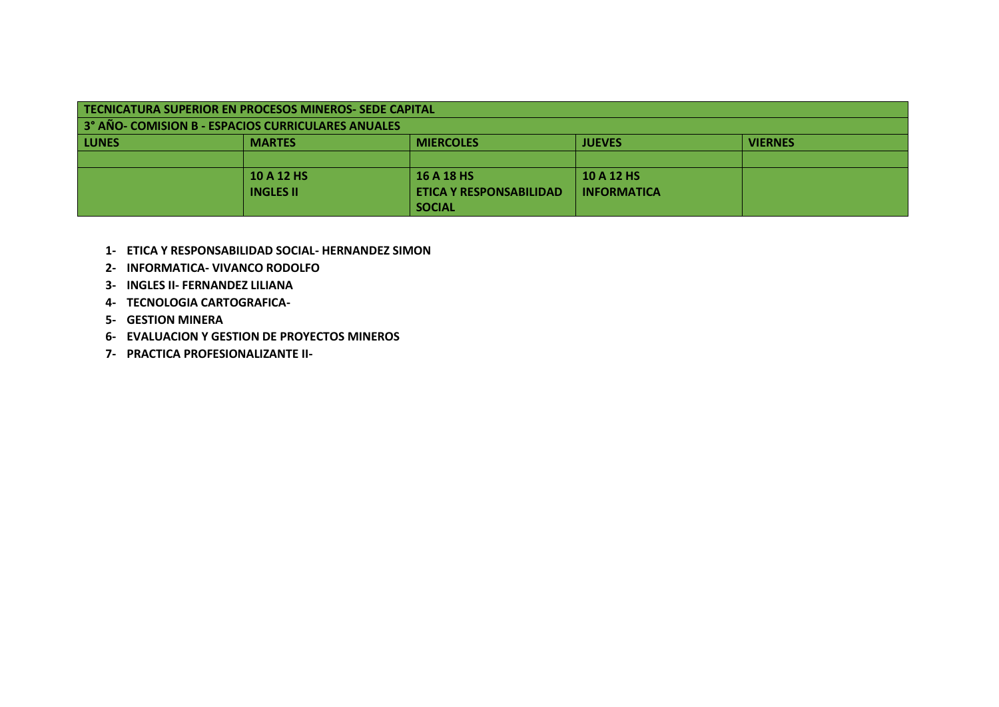| TECNICATURA SUPERIOR EN PROCESOS MINEROS- SEDE CAPITAL                   |                                                                      |            |            |  |  |  |  |
|--------------------------------------------------------------------------|----------------------------------------------------------------------|------------|------------|--|--|--|--|
| 3° AÑO- COMISION B - ESPACIOS CURRICULARES ANUALES                       |                                                                      |            |            |  |  |  |  |
| <b>LUNES</b>                                                             | <b>JUEVES</b><br><b>VIERNES</b><br><b>MARTES</b><br><b>MIERCOLES</b> |            |            |  |  |  |  |
|                                                                          |                                                                      |            |            |  |  |  |  |
|                                                                          | 10 A 12 HS                                                           | 16 A 18 HS | 10 A 12 HS |  |  |  |  |
| <b>INFORMATICA</b><br><b>INGLES II</b><br><b>ETICA Y RESPONSABILIDAD</b> |                                                                      |            |            |  |  |  |  |
|                                                                          | <b>SOCIAL</b>                                                        |            |            |  |  |  |  |

- **1- ETICA Y RESPONSABILIDAD SOCIAL- HERNANDEZ SIMON**
- **2- INFORMATICA- VIVANCO RODOLFO**
- **3- INGLES II- FERNANDEZ LILIANA**
- **4- TECNOLOGIA CARTOGRAFICA-**
- **5- GESTION MINERA**
- **6- EVALUACION Y GESTION DE PROYECTOS MINEROS**
- **7- PRACTICA PROFESIONALIZANTE II-**